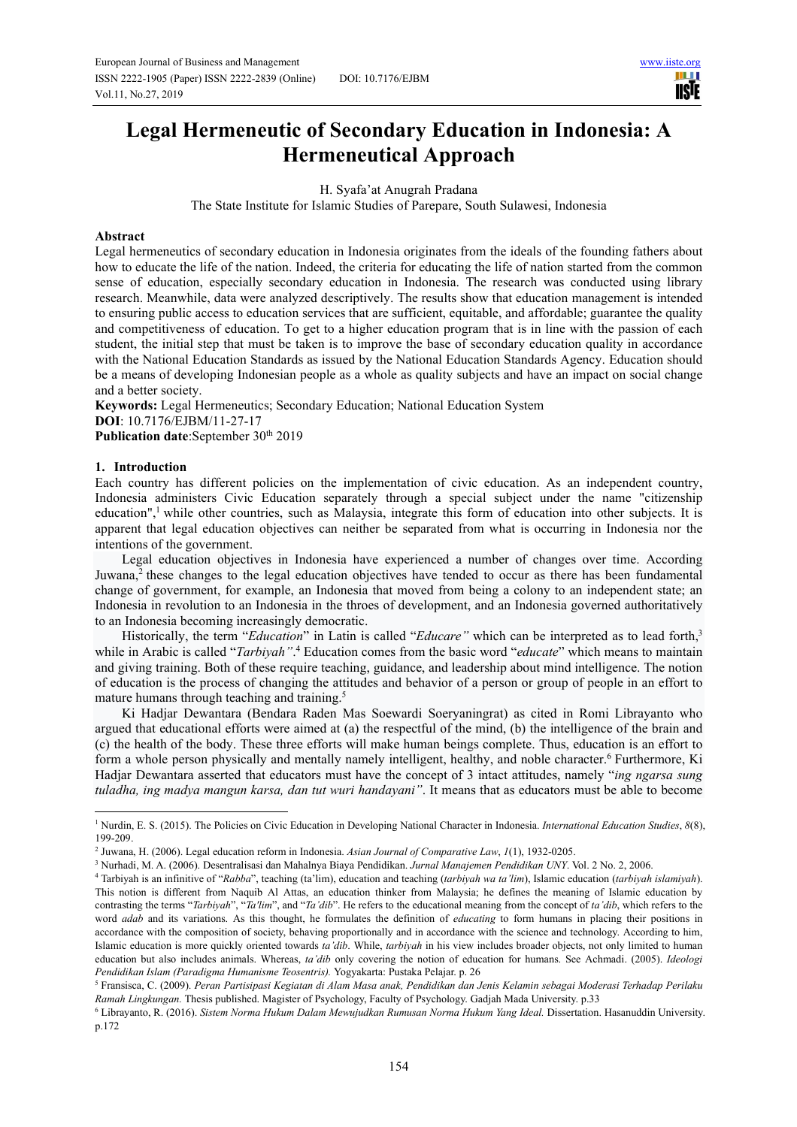ШI **IISIE** 

# **Legal Hermeneutic of Secondary Education in Indonesia: A Hermeneutical Approach**

H. Syafa'at Anugrah Pradana

The State Institute for Islamic Studies of Parepare, South Sulawesi, Indonesia

## **Abstract**

Legal hermeneutics of secondary education in Indonesia originates from the ideals of the founding fathers about how to educate the life of the nation. Indeed, the criteria for educating the life of nation started from the common sense of education, especially secondary education in Indonesia. The research was conducted using library research. Meanwhile, data were analyzed descriptively. The results show that education management is intended to ensuring public access to education services that are sufficient, equitable, and affordable; guarantee the quality and competitiveness of education. To get to a higher education program that is in line with the passion of each student, the initial step that must be taken is to improve the base of secondary education quality in accordance with the National Education Standards as issued by the National Education Standards Agency. Education should be a means of developing Indonesian people as a whole as quality subjects and have an impact on social change and a better society.

**Keywords:** Legal Hermeneutics; Secondary Education; National Education System **DOI**: 10.7176/EJBM/11-27-17 Publication date:September 30<sup>th</sup> 2019

## **1. Introduction**

Each country has different policies on the implementation of civic education. As an independent country, Indonesia administers Civic Education separately through a special subject under the name "citizenship education",<sup>1</sup> while other countries, such as Malaysia, integrate this form of education into other subjects. It is apparent that legal education objectives can neither be separated from what is occurring in Indonesia nor the intentions of the government.

Legal education objectives in Indonesia have experienced a number of changes over time. According Juwana,<sup>2</sup> these changes to the legal education objectives have tended to occur as there has been fundamental change of government, for example, an Indonesia that moved from being a colony to an independent state; an Indonesia in revolution to an Indonesia in the throes of development, and an Indonesia governed authoritatively to an Indonesia becoming increasingly democratic.

Historically, the term "*Education*" in Latin is called "*Educare*" which can be interpreted as to lead forth,<sup>3</sup> while in Arabic is called "*Tarbiyah*".<sup>4</sup> Education comes from the basic word "*educate*" which means to maintain and giving training. Both of these require teaching, guidance, and leadership about mind intelligence. The notion of education is the process of changing the attitudes and behavior of a person or group of people in an effort to mature humans through teaching and training.<sup>5</sup>

Ki Hadjar Dewantara (Bendara Raden Mas Soewardi Soeryaningrat) as cited in Romi Librayanto who argued that educational efforts were aimed at (a) the respectful of the mind, (b) the intelligence of the brain and (c) the health of the body. These three efforts will make human beings complete. Thus, education is an effort to form a whole person physically and mentally namely intelligent, healthy, and noble character.<sup>6</sup> Furthermore, Ki Hadjar Dewantara asserted that educators must have the concept of 3 intact attitudes, namely "*ing ngarsa sung tuladha, ing madya mangun karsa, dan tut wuri handayani"*. It means that as educators must be able to become

<sup>&</sup>lt;sup>1</sup> Nurdin, E. S. (2015). The Policies on Civic Education in Developing National Character in Indonesia. *International Education Studies*,  $8(8)$ , 199-209.

<sup>2</sup> Juwana, H. (2006). Legal education reform in Indonesia. *Asian Journal of Comparative Law*, *1*(1), 1932-0205.

<sup>3</sup> Nurhadi, M. A. (2006). Desentralisasi dan Mahalnya Biaya Pendidikan. *Jurnal Manajemen Pendidikan UNY*. Vol. 2 No. 2, 2006.

<sup>4</sup> Tarbiyah is an infinitive of "*Rabba*", teaching (ta'lim), education and teaching (*tarbiyah wa ta'lim*), Islamic education (*tarbiyah islamiyah*). This notion is different from Naquib Al Attas, an education thinker from Malaysia; he defines the meaning of Islamic education by contrasting the terms "*Tarbiyah*", "*Ta'lim*", and "*Ta'dib*". He refers to the educational meaning from the concept of *ta'dib*, which refers to the word *adab* and its variations. As this thought, he formulates the definition of *educating* to form humans in placing their positions in accordance with the composition of society, behaving proportionally and in accordance with the science and technology. According to him, Islamic education is more quickly oriented towards *ta'dib*. While, *tarbiyah* in his view includes broader objects, not only limited to human education but also includes animals. Whereas, *ta'dib* only covering the notion of education for humans. See Achmadi. (2005). *Ideologi Pendidikan Islam (Paradigma Humanisme Teosentris).* Yogyakarta: Pustaka Pelajar. p. 26

<sup>5</sup> Fransisca, C. (2009). *Peran Partisipasi Kegiatan di Alam Masa anak, Pendidikan dan Jenis Kelamin sebagai Moderasi Terhadap Perilaku Ramah Lingkungan.* Thesis published. Magister of Psychology, Faculty of Psychology. Gadjah Mada University. p.33

<sup>6</sup> Librayanto, R. (2016). *Sistem Norma Hukum Dalam Mewujudkan Rumusan Norma Hukum Yang Ideal.* Dissertation. Hasanuddin University. p.172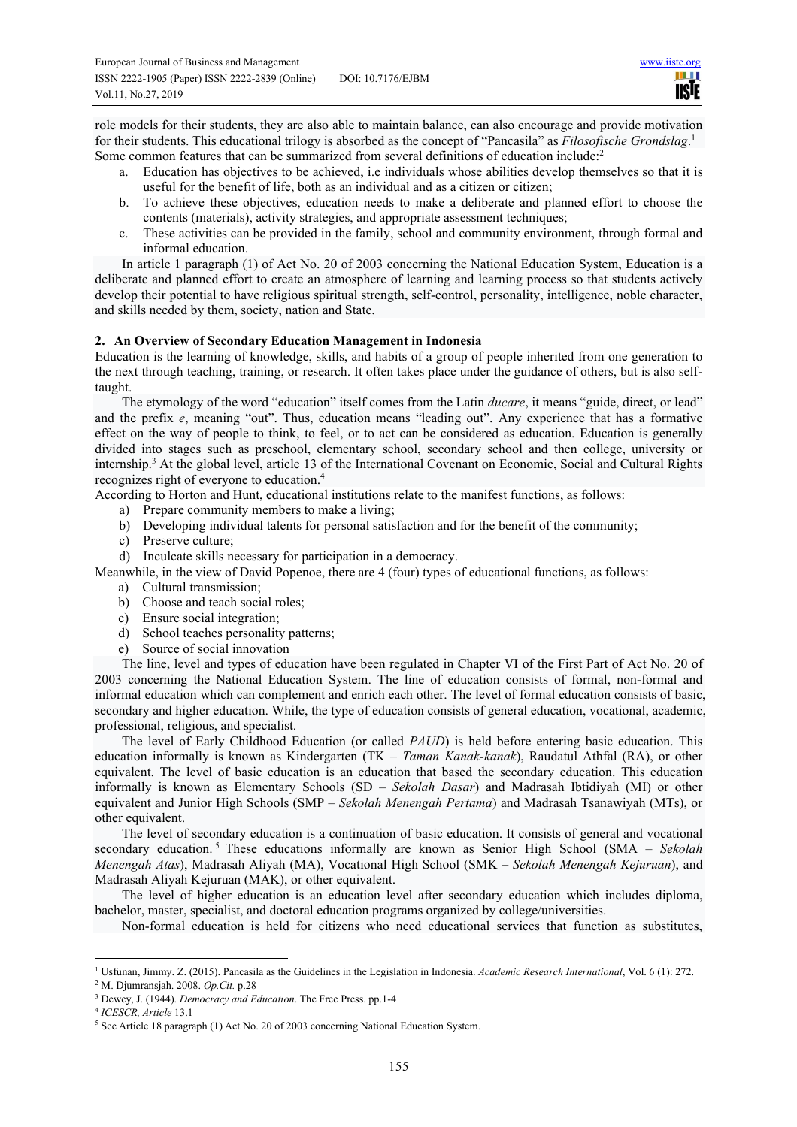role models for their students, they are also able to maintain balance, can also encourage and provide motivation for their students. This educational trilogy is absorbed as the concept of "Pancasila" as *Filosofische Grondslag*. 1 Some common features that can be summarized from several definitions of education include:<sup>2</sup>

- a. Education has objectives to be achieved, i.e individuals whose abilities develop themselves so that it is useful for the benefit of life, both as an individual and as a citizen or citizen;
- b. To achieve these objectives, education needs to make a deliberate and planned effort to choose the contents (materials), activity strategies, and appropriate assessment techniques;
- c. These activities can be provided in the family, school and community environment, through formal and informal education.

In article 1 paragraph (1) of Act No. 20 of 2003 concerning the National Education System, Education is a deliberate and planned effort to create an atmosphere of learning and learning process so that students actively develop their potential to have religious spiritual strength, self-control, personality, intelligence, noble character, and skills needed by them, society, nation and State.

# **2. An Overview of Secondary Education Management in Indonesia**

Education is the learning of knowledge, skills, and habits of a group of people inherited from one generation to the next through teaching, training, or research. It often takes place under the guidance of others, but is also selftaught.

The etymology of the word "education" itself comes from the Latin *ducare*, it means "guide, direct, or lead" and the prefix *e*, meaning "out". Thus, education means "leading out". Any experience that has a formative effect on the way of people to think, to feel, or to act can be considered as education. Education is generally divided into stages such as preschool, elementary school, secondary school and then college, university or internship.<sup>3</sup> At the global level, article 13 of the International Covenant on Economic, Social and Cultural Rights recognizes right of everyone to education.<sup>4</sup>

According to Horton and Hunt, educational institutions relate to the manifest functions, as follows:

- a) Prepare community members to make a living;
- b) Developing individual talents for personal satisfaction and for the benefit of the community;
- c) Preserve culture;
- d) Inculcate skills necessary for participation in a democracy.

Meanwhile, in the view of David Popenoe, there are 4 (four) types of educational functions, as follows:

- a) Cultural transmission;
- b) Choose and teach social roles;
- c) Ensure social integration;
- d) School teaches personality patterns;
- e) Source of social innovation

The line, level and types of education have been regulated in Chapter VI of the First Part of Act No. 20 of 2003 concerning the National Education System. The line of education consists of formal, non-formal and informal education which can complement and enrich each other. The level of formal education consists of basic, secondary and higher education. While, the type of education consists of general education, vocational, academic, professional, religious, and specialist.

The level of Early Childhood Education (or called *PAUD*) is held before entering basic education. This education informally is known as Kindergarten (TK – *Taman Kanak-kanak*), Raudatul Athfal (RA), or other equivalent. The level of basic education is an education that based the secondary education. This education informally is known as Elementary Schools (SD – *Sekolah Dasar*) and Madrasah Ibtidiyah (MI) or other equivalent and Junior High Schools (SMP – *Sekolah Menengah Pertama*) and Madrasah Tsanawiyah (MTs), or other equivalent.

The level of secondary education is a continuation of basic education. It consists of general and vocational secondary education. <sup>5</sup> These educations informally are known as Senior High School (SMA – *Sekolah Menengah Atas*), Madrasah Aliyah (MA), Vocational High School (SMK – *Sekolah Menengah Kejuruan*), and Madrasah Aliyah Kejuruan (MAK), or other equivalent.

The level of higher education is an education level after secondary education which includes diploma, bachelor, master, specialist, and doctoral education programs organized by college/universities.

Non-formal education is held for citizens who need educational services that function as substitutes,

<sup>1</sup> Usfunan, Jimmy. Z. (2015). Pancasila as the Guidelines in the Legislation in Indonesia. *Academic Research International*, Vol. 6 (1): 272.

<sup>2</sup> M. Djumransjah. 2008. *Op.Cit.* p.28 3 Dewey, J. (1944). *Democracy and Education*. The Free Press. pp.1-4

<sup>4</sup> *ICESCR, Article* 13.1

<sup>&</sup>lt;sup>5</sup> See Article 18 paragraph (1) Act No. 20 of 2003 concerning National Education System.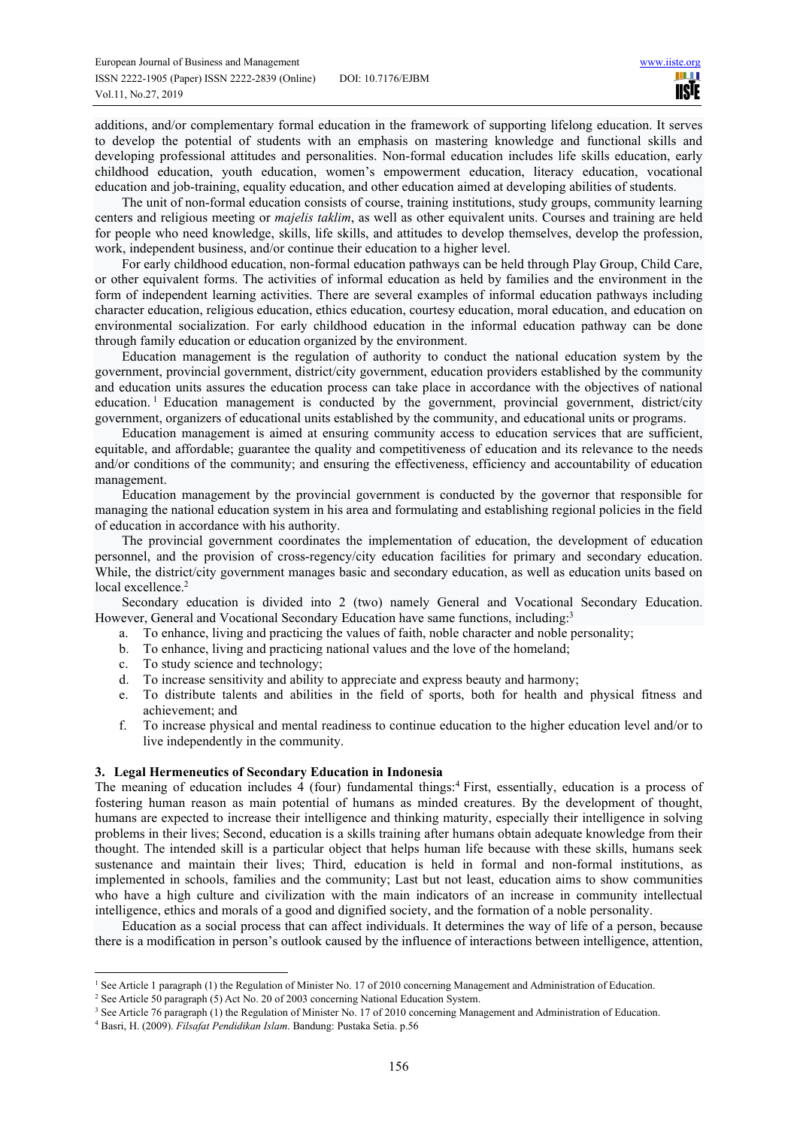additions, and/or complementary formal education in the framework of supporting lifelong education. It serves to develop the potential of students with an emphasis on mastering knowledge and functional skills and developing professional attitudes and personalities. Non-formal education includes life skills education, early childhood education, youth education, women's empowerment education, literacy education, vocational education and job-training, equality education, and other education aimed at developing abilities of students.

The unit of non-formal education consists of course, training institutions, study groups, community learning centers and religious meeting or *majelis taklim*, as well as other equivalent units. Courses and training are held for people who need knowledge, skills, life skills, and attitudes to develop themselves, develop the profession, work, independent business, and/or continue their education to a higher level.

For early childhood education, non-formal education pathways can be held through Play Group, Child Care, or other equivalent forms. The activities of informal education as held by families and the environment in the form of independent learning activities. There are several examples of informal education pathways including character education, religious education, ethics education, courtesy education, moral education, and education on environmental socialization. For early childhood education in the informal education pathway can be done through family education or education organized by the environment.

Education management is the regulation of authority to conduct the national education system by the government, provincial government, district/city government, education providers established by the community and education units assures the education process can take place in accordance with the objectives of national education.<sup>1</sup> Education management is conducted by the government, provincial government, district/city government, organizers of educational units established by the community, and educational units or programs.

Education management is aimed at ensuring community access to education services that are sufficient, equitable, and affordable; guarantee the quality and competitiveness of education and its relevance to the needs and/or conditions of the community; and ensuring the effectiveness, efficiency and accountability of education management.

Education management by the provincial government is conducted by the governor that responsible for managing the national education system in his area and formulating and establishing regional policies in the field of education in accordance with his authority.

The provincial government coordinates the implementation of education, the development of education personnel, and the provision of cross-regency/city education facilities for primary and secondary education. While, the district/city government manages basic and secondary education, as well as education units based on local excellence.<sup>2</sup>

Secondary education is divided into 2 (two) namely General and Vocational Secondary Education. However, General and Vocational Secondary Education have same functions, including:<sup>3</sup>

- a. To enhance, living and practicing the values of faith, noble character and noble personality;
- b. To enhance, living and practicing national values and the love of the homeland;
- c. To study science and technology;
- d. To increase sensitivity and ability to appreciate and express beauty and harmony;
- e. To distribute talents and abilities in the field of sports, both for health and physical fitness and achievement; and
- f. To increase physical and mental readiness to continue education to the higher education level and/or to live independently in the community.

### **3. Legal Hermeneutics of Secondary Education in Indonesia**

The meaning of education includes 4 (four) fundamental things:<sup>4</sup> First, essentially, education is a process of fostering human reason as main potential of humans as minded creatures. By the development of thought, humans are expected to increase their intelligence and thinking maturity, especially their intelligence in solving problems in their lives; Second, education is a skills training after humans obtain adequate knowledge from their thought. The intended skill is a particular object that helps human life because with these skills, humans seek sustenance and maintain their lives; Third, education is held in formal and non-formal institutions, as implemented in schools, families and the community; Last but not least, education aims to show communities who have a high culture and civilization with the main indicators of an increase in community intellectual intelligence, ethics and morals of a good and dignified society, and the formation of a noble personality.

Education as a social process that can affect individuals. It determines the way of life of a person, because there is a modification in person's outlook caused by the influence of interactions between intelligence, attention,

<sup>&</sup>lt;sup>1</sup> See Article 1 paragraph (1) the Regulation of Minister No. 17 of 2010 concerning Management and Administration of Education.

<sup>&</sup>lt;sup>2</sup> See Article 50 paragraph (5) Act No. 20 of 2003 concerning National Education System.

<sup>&</sup>lt;sup>3</sup> See Article 76 paragraph (1) the Regulation of Minister No. 17 of 2010 concerning Management and Administration of Education.

<sup>4</sup> Basri, H. (2009). *Filsafat Pendidikan Islam*. Bandung: Pustaka Setia. p.56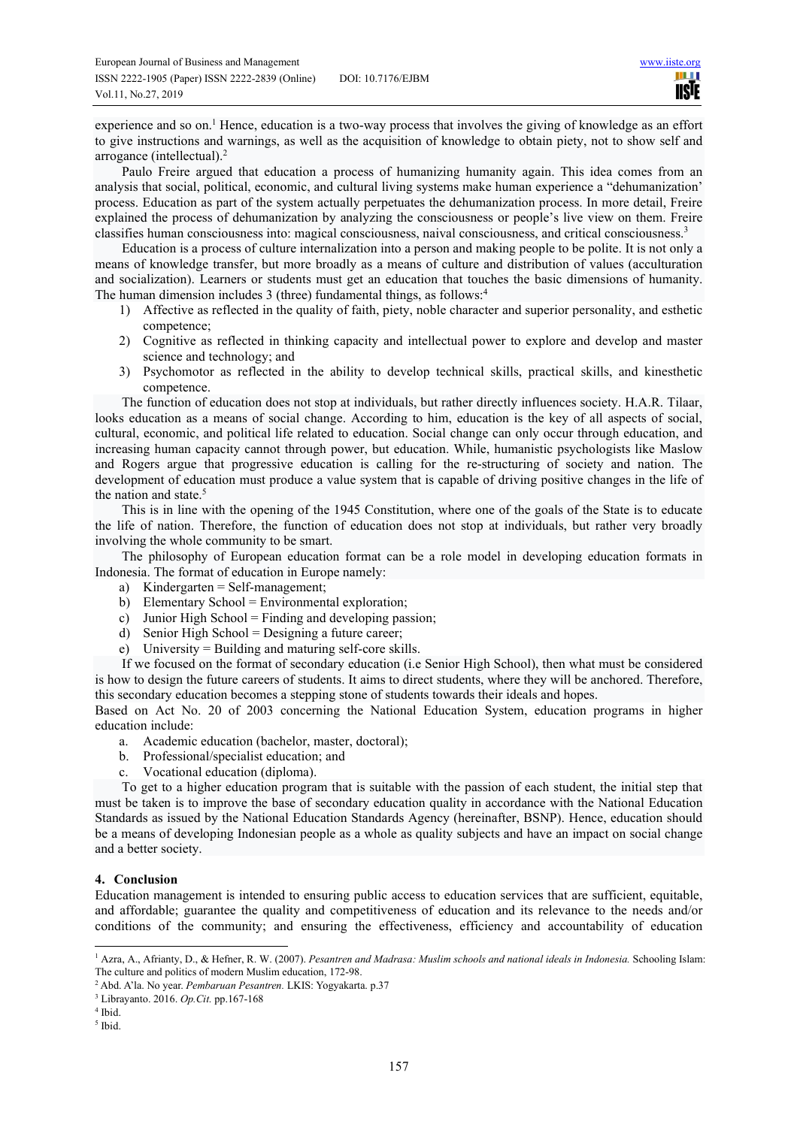experience and so on.<sup>1</sup> Hence, education is a two-way process that involves the giving of knowledge as an effort to give instructions and warnings, as well as the acquisition of knowledge to obtain piety, not to show self and arrogance (intellectual).<sup>2</sup>

Paulo Freire argued that education a process of humanizing humanity again. This idea comes from an analysis that social, political, economic, and cultural living systems make human experience a "dehumanization' process. Education as part of the system actually perpetuates the dehumanization process. In more detail, Freire explained the process of dehumanization by analyzing the consciousness or people's live view on them. Freire classifies human consciousness into: magical consciousness, naival consciousness, and critical consciousness.<sup>3</sup>

Education is a process of culture internalization into a person and making people to be polite. It is not only a means of knowledge transfer, but more broadly as a means of culture and distribution of values (acculturation and socialization). Learners or students must get an education that touches the basic dimensions of humanity. The human dimension includes 3 (three) fundamental things, as follows:<sup>4</sup>

- 1) Affective as reflected in the quality of faith, piety, noble character and superior personality, and esthetic competence;
- 2) Cognitive as reflected in thinking capacity and intellectual power to explore and develop and master science and technology; and
- 3) Psychomotor as reflected in the ability to develop technical skills, practical skills, and kinesthetic competence.

The function of education does not stop at individuals, but rather directly influences society. H.A.R. Tilaar, looks education as a means of social change. According to him, education is the key of all aspects of social, cultural, economic, and political life related to education. Social change can only occur through education, and increasing human capacity cannot through power, but education. While, humanistic psychologists like Maslow and Rogers argue that progressive education is calling for the re-structuring of society and nation. The development of education must produce a value system that is capable of driving positive changes in the life of the nation and state.<sup>5</sup>

This is in line with the opening of the 1945 Constitution, where one of the goals of the State is to educate the life of nation. Therefore, the function of education does not stop at individuals, but rather very broadly involving the whole community to be smart.

The philosophy of European education format can be a role model in developing education formats in Indonesia. The format of education in Europe namely:

- a) Kindergarten = Self-management;
- b) Elementary School = Environmental exploration;
- c) Junior High School = Finding and developing passion;
- d) Senior High School = Designing a future career;
- e) University = Building and maturing self-core skills.

If we focused on the format of secondary education (i.e Senior High School), then what must be considered is how to design the future careers of students. It aims to direct students, where they will be anchored. Therefore, this secondary education becomes a stepping stone of students towards their ideals and hopes.

Based on Act No. 20 of 2003 concerning the National Education System, education programs in higher education include:

- a. Academic education (bachelor, master, doctoral);
- b. Professional/specialist education; and
- c. Vocational education (diploma).

To get to a higher education program that is suitable with the passion of each student, the initial step that must be taken is to improve the base of secondary education quality in accordance with the National Education Standards as issued by the National Education Standards Agency (hereinafter, BSNP). Hence, education should be a means of developing Indonesian people as a whole as quality subjects and have an impact on social change and a better society.

## **4. Conclusion**

Education management is intended to ensuring public access to education services that are sufficient, equitable, and affordable; guarantee the quality and competitiveness of education and its relevance to the needs and/or conditions of the community; and ensuring the effectiveness, efficiency and accountability of education

4 Ibid.

<sup>&</sup>lt;sup>1</sup> Azra, A., Afrianty, D., & Hefner, R. W. (2007). Pesantren and Madrasa: Muslim schools and national ideals in Indonesia. Schooling Islam: The culture and politics of modern Muslim education, 172-98.

<sup>2</sup> Abd. A'la. No year. *Pembaruan Pesantren.* LKIS: Yogyakarta. p.37

<sup>3</sup> Librayanto. 2016. *Op.Cit.* pp.167-168

<sup>5</sup> Ibid.